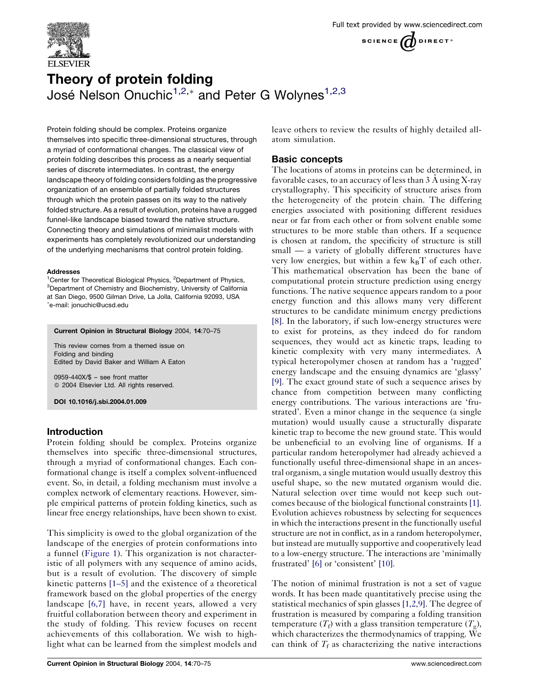

# Theory of protein folding José Nelson Onuchic<sup>1,2,\*</sup> and Peter G Wolynes<sup>1,2,3</sup>

Protein folding should be complex. Proteins organize themselves into specific three-dimensional structures, through a myriad of conformational changes. The classical view of protein folding describes this process as a nearly sequential series of discrete intermediates. In contrast, the energy landscape theory of folding considers folding as the progressive organization of an ensemble of partially folded structures through which the protein passes on its way to the natively folded structure. As a result of evolution, proteins have a rugged funnel-like landscape biased toward the native structure. Connecting theory and simulations of minimalist models with experiments has completely revolutionized our understanding of the underlying mechanisms that control protein folding.

#### **Addresses**

<sup>1</sup>Center for Theoretical Biological Physics, <sup>2</sup>Department of Physics, <sup>3</sup>Department of Chemistry and Biochemistry, University of California at San Diego, 9500 Gilman Drive, La Jolla, California 92093, USA e-mail: jonuchic@ucsd.edu

#### Current Opinion in Structural Biology 2004, 14:70–75

This review comes from a themed issue on Folding and binding Edited by David Baker and William A Eaton

0959-440X/\$ – see front matter 2004 Elsevier Ltd. All rights reserved.

DOI 10.1016/j.sbi.2004.01.009

## Introduction

Protein folding should be complex. Proteins organize themselves into specific three-dimensional structures, through a myriad of conformational changes. Each conformational change is itself a complex solvent-influenced event. So, in detail, a folding mechanism must involve a complex network of elementary reactions. However, simple empirical patterns of protein folding kinetics, such as linear free energy relationships, have been shown to exist.

This simplicity is owed to the global organization of the landscape of the energies of protein conformations into a funnel ([Figure 1](#page-1-0)). This organization is not characteristic of all polymers with any sequence of amino acids, but is a result of evolution. The discovery of simple kinetic patterns [\[1–5\]](#page-4-0) and the existence of a theoretical framework based on the global properties of the energy landscape [\[6,7\]](#page-4-0) have, in recent years, allowed a very fruitful collaboration between theory and experiment in the study of folding. This review focuses on recent achievements of this collaboration. We wish to highlight what can be learned from the simplest models and

leave others to review the results of highly detailed allatom simulation.

## Basic concepts

The locations of atoms in proteins can be determined, in favorable cases, to an accuracy of less than  $3 A$  using X-ray crystallography. This specificity of structure arises from the heterogeneity of the protein chain. The differing energies associated with positioning different residues near or far from each other or from solvent enable some structures to be more stable than others. If a sequence is chosen at random, the specificity of structure is still small — a variety of globally different structures have very low energies, but within a few  $k_BT$  of each other. This mathematical observation has been the bane of computational protein structure prediction using energy functions. The native sequence appears random to a poor energy function and this allows many very different structures to be candidate minimum energy predictions [\[8\].](#page-4-0) In the laboratory, if such low-energy structures were to exist for proteins, as they indeed do for random sequences, they would act as kinetic traps, leading to kinetic complexity with very many intermediates. A typical heteropolymer chosen at random has a 'rugged' energy landscape and the ensuing dynamics are 'glassy' [\[9\].](#page-4-0) The exact ground state of such a sequence arises by chance from competition between many conflicting energy contributions. The various interactions are 'frustrated'. Even a minor change in the sequence (a single mutation) would usually cause a structurally disparate kinetic trap to become the new ground state. This would be unbeneficial to an evolving line of organisms. If a particular random heteropolymer had already achieved a functionally useful three-dimensional shape in an ancestral organism, a single mutation would usually destroy this useful shape, so the new mutated organism would die. Natural selection over time would not keep such outcomes because of the biological functional constraints [\[1\].](#page-4-0) Evolution achieves robustness by selecting for sequences in which the interactions present in the functionally useful structure are not in conflict, as in a random heteropolymer, but instead are mutually supportive and cooperatively lead to a low-energy structure. The interactions are 'minimally frustrated' [\[6\]](#page-4-0) or 'consistent' [\[10\].](#page-4-0)

The notion of minimal frustration is not a set of vague words. It has been made quantitatively precise using the statistical mechanics of spin glasses [\[1,2,9\]](#page-4-0). The degree of frustration is measured by comparing a folding transition temperature  $(T_f)$  with a glass transition temperature  $(T_g)$ , which characterizes the thermodynamics of trapping. We can think of  $T_f$  as characterizing the native interactions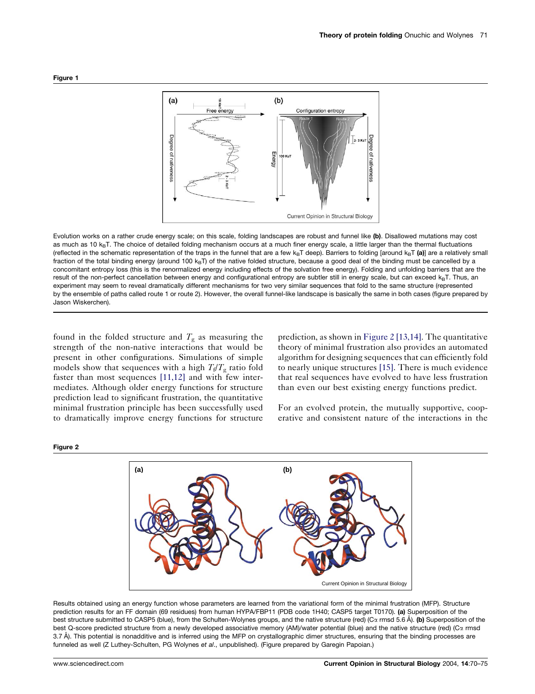<span id="page-1-0"></span>

Evolution works on a rather crude energy scale; on this scale, folding landscapes are robust and funnel like (b). Disallowed mutations may cost as much as 10  $k_B T$ . The choice of detailed folding mechanism occurs at a much finer energy scale, a little larger than the thermal fluctuations (reflected in the schematic representation of the traps in the funnel that are a few  $k_B T$  deep). Barriers to folding [around  $k_B T$  (a)] are a relatively small fraction of the total binding energy (around 100  $k_B T$ ) of the native folded structure, because a good deal of the binding must be cancelled by a concomitant entropy loss (this is the renormalized energy including effects of the solvation free energy). Folding and unfolding barriers that are the result of the non-perfect cancellation between energy and configurational entropy are subtler still in energy scale, but can exceed  $k_B T$ . Thus, an experiment may seem to reveal dramatically different mechanisms for two very similar sequences that fold to the same structure (represented by the ensemble of paths called route 1 or route 2). However, the overall funnel-like landscape is basically the same in both cases (figure prepared by Jason Wiskerchen).

found in the folded structure and  $T_{\rm g}$  as measuring the strength of the non-native interactions that would be present in other configurations. Simulations of simple models show that sequences with a high  $T_f/T_g$  ratio fold faster than most sequences [\[11,12\]](#page-4-0) and with few intermediates. Although older energy functions for structure prediction lead to significant frustration, the quantitative minimal frustration principle has been successfully used to dramatically improve energy functions for structure

prediction, as shown in Figure 2 [\[13,14\]](#page-4-0). The quantitative theory of minimal frustration also provides an automated algorithm for designing sequences that can efficiently fold to nearly unique structures [\[15\].](#page-4-0) There is much evidence that real sequences have evolved to have less frustration than even our best existing energy functions predict.

For an evolved protein, the mutually supportive, cooperative and consistent nature of the interactions in the



Results obtained using an energy function whose parameters are learned from the variational form of the minimal frustration (MFP). Structure prediction results for an FF domain (69 residues) from human HYPA/FBP11 (PDB code 1H40; CASP5 target T0170). (a) Superposition of the best structure submitted to CASP5 (blue), from the Schulten-Wolynes groups, and the native structure (red) (C $\alpha$  rmsd 5.6 Å). (b) Superposition of the best Q-score predicted structure from a newly developed associative memory (AM)/water potential (blue) and the native structure (red) (Ca rmsd 3.7 Å). This potential is nonadditive and is inferred using the MFP on crystallographic dimer structures, ensuring that the binding processes are funneled as well (Z Luthey-Schulten, PG Wolynes et al., unpublished). (Figure prepared by Garegin Papoian.)

Figure 2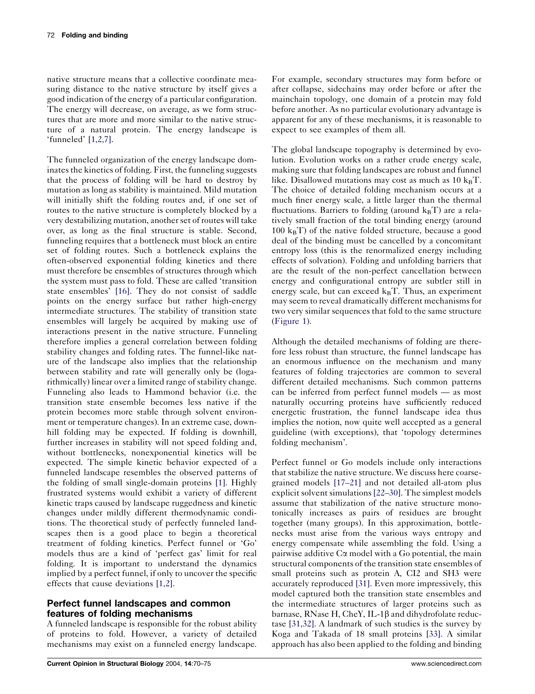native structure means that a collective coordinate measuring distance to the native structure by itself gives a good indication of the energy of a particular configuration. The energy will decrease, on average, as we form structures that are more and more similar to the native structure of a natural protein. The energy landscape is 'funneled' [\[1,2,7\].](#page-4-0)

The funneled organization of the energy landscape dominates the kinetics of folding. First, the funneling suggests that the process of folding will be hard to destroy by mutation as long as stability is maintained. Mild mutation will initially shift the folding routes and, if one set of routes to the native structure is completely blocked by a very destabilizing mutation, another set of routes will take over, as long as the final structure is stable. Second, funneling requires that a bottleneck must block an entire set of folding routes. Such a bottleneck explains the often-observed exponential folding kinetics and there must therefore be ensembles of structures through which the system must pass to fold. These are called 'transition state ensembles' [\[16\]](#page-4-0). They do not consist of saddle points on the energy surface but rather high-energy intermediate structures. The stability of transition state ensembles will largely be acquired by making use of interactions present in the native structure. Funneling therefore implies a general correlation between folding stability changes and folding rates. The funnel-like nature of the landscape also implies that the relationship between stability and rate will generally only be (logarithmically) linear over a limited range of stability change. Funneling also leads to Hammond behavior (i.e. the transition state ensemble becomes less native if the protein becomes more stable through solvent environment or temperature changes). In an extreme case, downhill folding may be expected. If folding is downhill, further increases in stability will not speed folding and, without bottlenecks, nonexponential kinetics will be expected. The simple kinetic behavior expected of a funneled landscape resembles the observed patterns of the folding of small single-domain proteins [\[1\]](#page-4-0). Highly frustrated systems would exhibit a variety of different kinetic traps caused by landscape ruggedness and kinetic changes under mildly different thermodynamic conditions. The theoretical study of perfectly funneled landscapes then is a good place to begin a theoretical treatment of folding kinetics. Perfect funnel or 'Go' models thus are a kind of 'perfect gas' limit for real folding. It is important to understand the dynamics implied by a perfect funnel, if only to uncover the specific effects that cause deviations [\[1,2\].](#page-4-0)

# Perfect funnel landscapes and common features of folding mechanisms

A funneled landscape is responsible for the robust ability of proteins to fold. However, a variety of detailed mechanisms may exist on a funneled energy landscape.

For example, secondary structures may form before or after collapse, sidechains may order before or after the mainchain topology, one domain of a protein may fold before another. As no particular evolutionary advantage is apparent for any of these mechanisms, it is reasonable to expect to see examples of them all.

The global landscape topography is determined by evolution. Evolution works on a rather crude energy scale, making sure that folding landscapes are robust and funnel like. Disallowed mutations may cost as much as  $10 \text{ kgT}$ . The choice of detailed folding mechanism occurs at a much finer energy scale, a little larger than the thermal fluctuations. Barriers to folding (around  $k_BT$ ) are a relatively small fraction of the total binding energy (around  $100 \text{ kg}$ T) of the native folded structure, because a good deal of the binding must be cancelled by a concomitant entropy loss (this is the renormalized energy including effects of solvation). Folding and unfolding barriers that are the result of the non-perfect cancellation between energy and configurational entropy are subtler still in energy scale, but can exceed  $k_B T$ . Thus, an experiment may seem to reveal dramatically different mechanisms for two very similar sequences that fold to the same structure [\(Figure 1](#page-1-0)).

Although the detailed mechanisms of folding are therefore less robust than structure, the funnel landscape has an enormous influence on the mechanism and many features of folding trajectories are common to several different detailed mechanisms. Such common patterns can be inferred from perfect funnel models — as most naturally occurring proteins have sufficiently reduced energetic frustration, the funnel landscape idea thus implies the notion, now quite well accepted as a general guideline (with exceptions), that 'topology determines folding mechanism'.

Perfect funnel or Go models include only interactions that stabilize the native structure. We discuss here coarsegrained models [\[17–21\]](#page-4-0) and not detailed all-atom plus explicit solvent simulations [\[22–30\].](#page-4-0) The simplest models assume that stabilization of the native structure monotonically increases as pairs of residues are brought together (many groups). In this approximation, bottlenecks must arise from the various ways entropy and energy compensate while assembling the fold. Using a pairwise additive  $C\alpha$  model with a Go potential, the main structural components of the transition state ensembles of small proteins such as protein A, CI2 and SH3 were accurately reproduced [\[31\].](#page-4-0) Even more impressively, this model captured both the transition state ensembles and the intermediate structures of larger proteins such as barnase, RNase H, CheY, IL-1 $\beta$  and dihydrofolate reductase [\[31,32\].](#page-4-0) A landmark of such studies is the survey by Koga and Takada of 18 small proteins [\[33\].](#page-5-0) A similar approach has also been applied to the folding and binding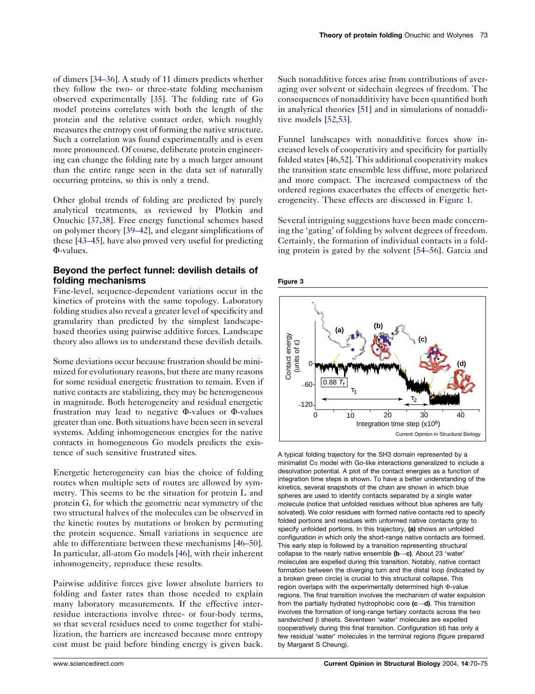<span id="page-3-0"></span>of dimers [\[34–36\].](#page-5-0) A study of 11 dimers predicts whether they follow the two- or three-state folding mechanism observed experimentally [\[35\]](#page-5-0). The folding rate of Go model proteins correlates with both the length of the protein and the relative contact order, which roughly measures the entropy cost of forming the native structure. Such a correlation was found experimentally and is even more pronounced. Of course, deliberate protein engineering can change the folding rate by a much larger amount than the entire range seen in the data set of naturally occurring proteins, so this is only a trend.

Other global trends of folding are predicted by purely analytical treatments, as reviewed by Plotkin and Onuchic [\[37,38\].](#page-5-0) Free energy functional schemes based on polymer theory [\[39–42\],](#page-5-0) and elegant simplifications of these [\[43–45\],](#page-5-0) have also proved very useful for predicting  $\Phi$ -values.

# Beyond the perfect funnel: devilish details of folding mechanisms

Fine-level, sequence-dependent variations occur in the kinetics of proteins with the same topology. Laboratory folding studies also reveal a greater level of specificity and granularity than predicted by the simplest landscapebased theories using pairwise additive forces. Landscape theory also allows us to understand these devilish details.

Some deviations occur because frustration should be minimized for evolutionary reasons, but there are many reasons for some residual energetic frustration to remain. Even if native contacts are stabilizing, they may be heterogeneous in magnitude. Both heterogeneity and residual energetic frustration may lead to negative  $\Phi$ -values or  $\Phi$ -values greater than one. Both situations have been seen in several systems. Adding inhomogeneous energies for the native contacts in homogeneous Go models predicts the existence of such sensitive frustrated sites.

Energetic heterogeneity can bias the choice of folding routes when multiple sets of routes are allowed by symmetry. This seems to be the situation for protein L and protein G, for which the geometric near symmetry of the two structural halves of the molecules can be observed in the kinetic routes by mutations or broken by permuting the protein sequence. Small variations in sequence are able to differentiate between these mechanisms [\[46–50\].](#page-5-0) In particular, all-atom Go models [\[46\],](#page-5-0) with their inherent inhomogeneity, reproduce these results.

Pairwise additive forces give lower absolute barriers to folding and faster rates than those needed to explain many laboratory measurements. If the effective interresidue interactions involve three- or four-body terms, so that several residues need to come together for stabilization, the barriers are increased because more entropy cost must be paid before binding energy is given back.

Such nonadditive forces arise from contributions of averaging over solvent or sidechain degrees of freedom. The consequences of nonadditivity have been quantified both in analytical theories [\[51\]](#page-5-0) and in simulations of nonadditive models [\[52,53\].](#page-5-0)

Funnel landscapes with nonadditive forces show increased levels of cooperativity and specificity for partially folded states [\[46,52\].](#page-5-0) This additional cooperativity makes the transition state ensemble less diffuse, more polarized and more compact. The increased compactness of the ordered regions exacerbates the effects of energetic heterogeneity. These effects are discussed in [Figure 1.](#page-1-0)

Several intriguing suggestions have been made concerning the 'gating' of folding by solvent degrees of freedom. Certainly, the formation of individual contacts in a folding protein is gated by the solvent [\[54–56\]](#page-5-0). Garcia and





A typical folding trajectory for the SH3 domain represented by a minimalist  $C\alpha$  model with Go-like interactions generalized to include a desolvation potential. A plot of the contact energies as a function of integration time steps is shown. To have a better understanding of the kinetics, several snapshots of the chain are shown in which blue spheres are used to identify contacts separated by a single water molecule (notice that unfolded residues without blue spheres are fully solvated). We color residues with formed native contacts red to specify folded portions and residues with unformed native contacts gray to specify unfolded portions. In this trajectory, (a) shows an unfolded configuration in which only the short-range native contacts are formed. This early step is followed by a transition representing structural collapse to the nearly native ensemble  $(b \rightarrow c)$ . About 23 'water' molecules are expelled during this transition. Notably, native contact formation between the diverging turn and the distal loop (indicated by a broken green circle) is crucial to this structural collapse. This region overlaps with the experimentally determined high  $\Phi$ -value regions. The final transition involves the mechanism of water expulsion from the partially hydrated hydrophobic core  $(c \rightarrow d)$ . This transition involves the formation of long-range tertiary contacts across the two sandwiched  $\beta$  sheets. Seventeen 'water' molecules are expelled cooperatively during this final transition. Configuration (d) has only a few residual 'water' molecules in the terminal regions (figure prepared by Margaret S Cheung).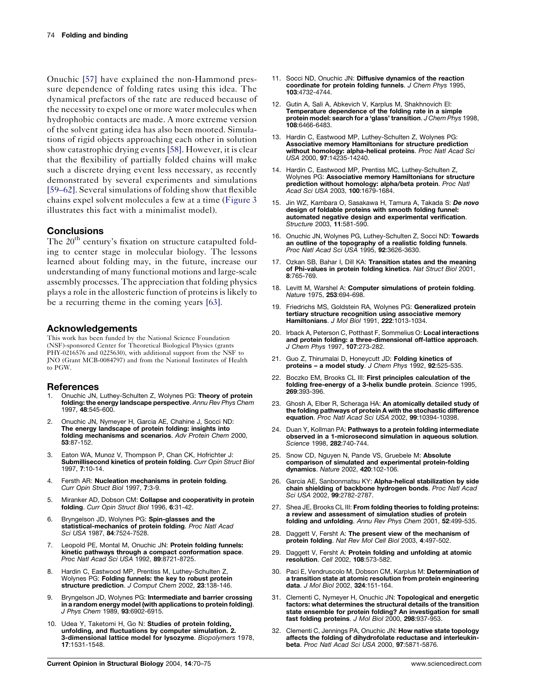<span id="page-4-0"></span>Onuchic [\[57\]](#page-5-0) have explained the non-Hammond pressure dependence of folding rates using this idea. The dynamical prefactors of the rate are reduced because of the necessity to expel one or more water molecules when hydrophobic contacts are made. A more extreme version of the solvent gating idea has also been mooted. Simulations of rigid objects approaching each other in solution show catastrophic drying events [\[58\]](#page-5-0). However, it is clear that the flexibility of partially folded chains will make such a discrete drying event less necessary, as recently demonstrated by several experiments and simulations [\[59–62\]](#page-5-0). Several simulations of folding show that flexible chains expel solvent molecules a few at a time ([Figure 3](#page-3-0) illustrates this fact with a minimalist model).

### **Conclusions**

The 20<sup>th</sup> century's fixation on structure catapulted folding to center stage in molecular biology. The lessons learned about folding may, in the future, increase our understanding of many functional motions and large-scale assembly processes. The appreciation that folding physics plays a role in the allosteric function of proteins is likely to be a recurring theme in the coming years [\[63\]](#page-5-0).

#### Acknowledgements

This work has been funded by the National Science Foundation (NSF)-sponsored Center for Theoretical Biological Physics (grants PHY-0216576 and 0225630), with additional support from the NSF to JNO (Grant MCB-0084797) and from the National Institutes of Health to PGW.

#### **References**

- 1. Onuchic JN, Luthey-Schulten Z, Wolynes PG: Theory of protein folding: the energy landscape perspective. Annu Rev Phys Chem 1997, 48:545-600.
- 2. Onuchic JN, Nymeyer H, Garcia AE, Chahine J, Socci ND: The energy landscape of protein folding: insights into folding mechanisms and scenarios. Adv Protein Chem 2000, 53:87-152.
- 3. Eaton WA, Munoz V, Thompson P, Chan CK, Hofrichter J: Submillisecond kinetics of protein folding. Curr Opin Struct Biol 1997, 7:10-14.
- 4. Fersth AR: Nucleation mechanisms in protein folding. Curr Opin Struct Biol 1997, 7:3-9.
- 5. Miranker AD, Dobson CM: Collapse and cooperativity in protein folding. Curr Opin Struct Biol 1996, 6:31-42.
- 6. Bryngelson JD, Wolynes PG: Spin-glasses and the statistical-mechanics of protein folding. Proc Natl Acad Sci USA 1987, 84:7524-7528.
- 7. Leopold PE, Montal M, Onuchic JN: Protein folding funnels: kinetic pathways through a compact conformation space. Proc Natl Acad Sci USA 1992, 89:8721-8725.
- 8. Hardin C, Eastwood MP, Prentiss M, Luthey-Schulten Z, Wolynes PG: Folding funnels: the key to robust protein structure prediction. J Comput Chem 2002, 23:138-146.
- 9. Bryngelson JD, Wolynes PG: Intermediate and barrier crossing in a random energy model (with applications to protein folding). J Phys Chem 1989, 93:6902-6915.
- 10. Udea Y, Taketomi H, Go N: Studies of protein folding, unfolding, and fluctuations by computer simulation. 2. 3-dimensional lattice model for lysozyme. Biopolymers 1978, 17:1531-1548.
- 11. Socci ND, Onuchic JN: Diffusive dynamics of the reaction coordinate for protein folding funnels. J Chem Phys 1995, 103:4732-4744.
- 12. Gutin A, Sali A, Abkevich V, Karplus M, Shakhnovich EI: Temperature dependence of the folding rate in a simple protein model: search for a 'glass' transition. J Chem Phys 1998, 108:6466-6483.
- 13. Hardin C, Eastwood MP, Luthey-Schulten Z, Wolynes PG: Associative memory Hamiltonians for structure prediction without homology: alpha-helical proteins. Proc Natl Acad Sci USA 2000, 97:14235-14240.
- 14. Hardin C, Eastwood MP, Prentiss MC, Luthey-Schulten Z, Wolynes PG: Associative memory Hamiltonians for structure prediction without homology: alpha/beta protein. Proc Natl Acad Sci USA 2003, 100:1679-1684.
- 15. Jin WZ, Kambara O, Sasakawa H, Tamura A, Takada S: De novo design of foldable proteins with smooth folding funnel: automated negative design and experimental verification. Structure 2003, 11:581-590.
- 16. Onuchic JN, Wolynes PG, Luthey-Schulten Z, Socci ND: Towards an outline of the topography of a realistic folding funnels. Proc Natl Acad Sci USA 1995, 92:3626-3630.
- 17. Ozkan SB, Bahar I, Dill KA: Transition states and the meaning of Phi-values in protein folding kinetics. Nat Struct Biol 2001, 8:765-769.
- 18. Levitt M, Warshel A: Computer simulations of protein folding. Nature 1975, 253:694-698.
- 19. Friedrichs MS, Goldstein RA, Wolynes PG: Generalized protein tertiary structure recognition using associative memory Hamiltonians. J Mol Biol 1991, 222:1013-1034.
- 20. Irback A, Peterson C, Potthast F, Sommelius O: Local interactions and protein folding: a three-dimensional off-lattice approach. J Chem Phys 1997, 107:273-282.
- 21. Guo Z, Thirumalai D, Honeycutt JD: Folding kinetics of proteins - a model study. J Chem Phys 1992, 92:525-535.
- 22. Boczko EM, Brooks CL III: First principles calculation of the folding free-energy of a 3-helix bundle protein. Science 1995, 269:393-396.
- 23. Ghosh A, Elber R, Scheraga HA: An atomically detailed study of the folding pathways of protein A with the stochastic difference equation. Proc Natl Acad Sci USA 2002, 99:10394-10398.
- 24. Duan Y, Kollman PA: Pathways to a protein folding intermediate observed in a 1-microsecond simulation in aqueous solution. Science 1998, 282:740-744.
- 25. Snow CD, Nguyen N, Pande VS, Gruebele M: Absolute comparison of simulated and experimental protein-folding dynamics. Nature 2002, 420:102-106.
- 26. Garcia AE, Sanbonmatsu KY: Alpha-helical stabilization by side chain shielding of backbone hydrogen bonds. Proc Natl Acad Sci USA 2002, 99:2782-2787.
- 27. Shea JE, Brooks CL III: From folding theories to folding proteins: a review and assessment of simulation studies of protein folding and unfolding. Annu Rev Phys Chem 2001, 52:499-535.
- 28. Daggett V, Fersht A: The present view of the mechanism of protein folding. Nat Rev Mol Cell Biol 2003, 4:497-502.
- 29. Daggett V, Fersht A: Protein folding and unfolding at atomic resolution. Cell 2002, 108:573-582.
- 30. Paci E, Vendruscolo M, Dobson CM, Karplus M: Determination of a transition state at atomic resolution from protein engineering data. J Mol Biol 2002, 324:151-164.
- 31. Clementi C, Nymeyer H, Onuchic JN: Topological and energetic factors: what determines the structural details of the transition state ensemble for protein folding? An investigation for small fast folding proteins. J Mol Biol 2000, 298:937-953.
- 32. Clementi C, Jennings PA, Onuchic JN: How native state topology affects the folding of dihydrofolate reductase and interleukinbeta. Proc Natl Acad Sci USA 2000, 97:5871-5876.